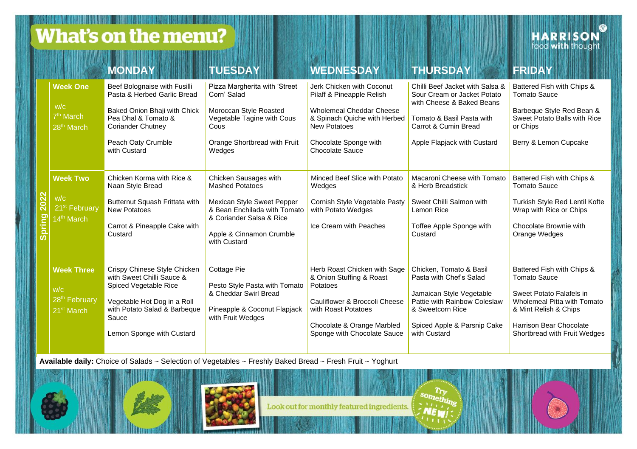**What's on the menu?** 

**TELEVISION EN DE L'ARABIA DE L'ARABIA** 

**HARRISON** 

|                       |                                                                                 | <b>MONDAY</b>                                                                                                                                                                           | <b>TUESDAY</b>                                                                                                                                                                        | <b>WEDNESDAY</b>                                                                                                                                                                             | <b>THURSDAY</b>                                                                                                                                                                   | <b>FRIDAY</b>                                                                                                                                                                             |
|-----------------------|---------------------------------------------------------------------------------|-----------------------------------------------------------------------------------------------------------------------------------------------------------------------------------------|---------------------------------------------------------------------------------------------------------------------------------------------------------------------------------------|----------------------------------------------------------------------------------------------------------------------------------------------------------------------------------------------|-----------------------------------------------------------------------------------------------------------------------------------------------------------------------------------|-------------------------------------------------------------------------------------------------------------------------------------------------------------------------------------------|
| 2022<br><b>Spring</b> | <b>Week One</b><br>W/C<br>7 <sup>th</sup> March<br>28 <sup>th</sup> March       | Beef Bolognaise with Fusilli<br>Pasta & Herbed Garlic Bread<br>Baked Onion Bhaji with Chick<br>Pea Dhal & Tomato &<br><b>Coriander Chutney</b><br>Peach Oaty Crumble<br>with Custard    | Pizza Margherita with 'Street<br>Corn' Salad<br>Moroccan Style Roasted<br>Vegetable Tagine with Cous<br>Cous<br>Orange Shortbread with Fruit<br>Wedges                                | Jerk Chicken with Coconut<br>Pilaff & Pineapple Relish<br>Wholemeal Cheddar Cheese<br>& Spinach Quiche with Herbed<br><b>New Potatoes</b><br>Chocolate Sponge with<br><b>Chocolate Sauce</b> | Chilli Beef Jacket with Salsa &<br>Sour Cream or Jacket Potato<br>with Cheese & Baked Beans<br>Tomato & Basil Pasta with<br>Carrot & Cumin Bread<br>Apple Flapjack with Custard   | Battered Fish with Chips &<br><b>Tomato Sauce</b><br>Barbeque Style Red Bean &<br>Sweet Potato Balls with Rice<br>or Chips<br>Berry & Lemon Cupcake                                       |
|                       | <b>Week Two</b><br>W/C<br>21 <sup>st</sup> February<br>14 <sup>th</sup> March   | Chicken Korma with Rice &<br>Naan Style Bread<br>Butternut Squash Frittata with<br>New Potatoes<br>Carrot & Pineapple Cake with<br>Custard                                              | Chicken Sausages with<br><b>Mashed Potatoes</b><br>Mexican Style Sweet Pepper<br>& Bean Enchilada with Tomato<br>& Coriander Salsa & Rice<br>Apple & Cinnamon Crumble<br>with Custard | Minced Beef Slice with Potato<br>Wedges<br>Cornish Style Vegetable Pasty<br>with Potato Wedges<br>Ice Cream with Peaches                                                                     | Macaroni Cheese with Tomato<br>& Herb Breadstick<br>Sweet Chilli Salmon with<br>Lemon Rice<br>Toffee Apple Sponge with<br>Custard                                                 | Battered Fish with Chips &<br><b>Tomato Sauce</b><br>Turkish Style Red Lentil Kofte<br>Wrap with Rice or Chips<br>Chocolate Brownie with<br>Orange Wedges                                 |
|                       | <b>Week Three</b><br>W/C<br>28 <sup>th</sup> February<br>21 <sup>st</sup> March | Crispy Chinese Style Chicken<br>with Sweet Chilli Sauce &<br>Spiced Vegetable Rice<br>Vegetable Hot Dog in a Roll<br>with Potato Salad & Barbeque<br>Sauce<br>Lemon Sponge with Custard | <b>Cottage Pie</b><br>Pesto Style Pasta with Tomato<br>& Cheddar Swirl Bread<br>Pineapple & Coconut Flapjack<br>with Fruit Wedges                                                     | Herb Roast Chicken with Sage<br>& Onion Stuffing & Roast<br>Potatoes<br>Cauliflower & Broccoli Cheese<br>with Roast Potatoes<br>Chocolate & Orange Marbled<br>Sponge with Chocolate Sauce    | Chicken. Tomato & Basil<br>Pasta with Chef's Salad<br>Jamaican Style Vegetable<br>Pattie with Rainbow Coleslaw<br>& Sweetcorn Rice<br>Spiced Apple & Parsnip Cake<br>with Custard | Battered Fish with Chips &<br>Tomato Sauce<br>Sweet Potato Falafels in<br>Wholemeal Pitta with Tomato<br>& Mint Relish & Chips<br>Harrison Bear Chocolate<br>Shortbread with Fruit Wedges |

**Available daily:** Choice of Salads ~ Selection of Vegetables ~ Freshly Baked Bread ~ Fresh Fruit ~ Yoghurt



Look out for monthly featured ingredients.